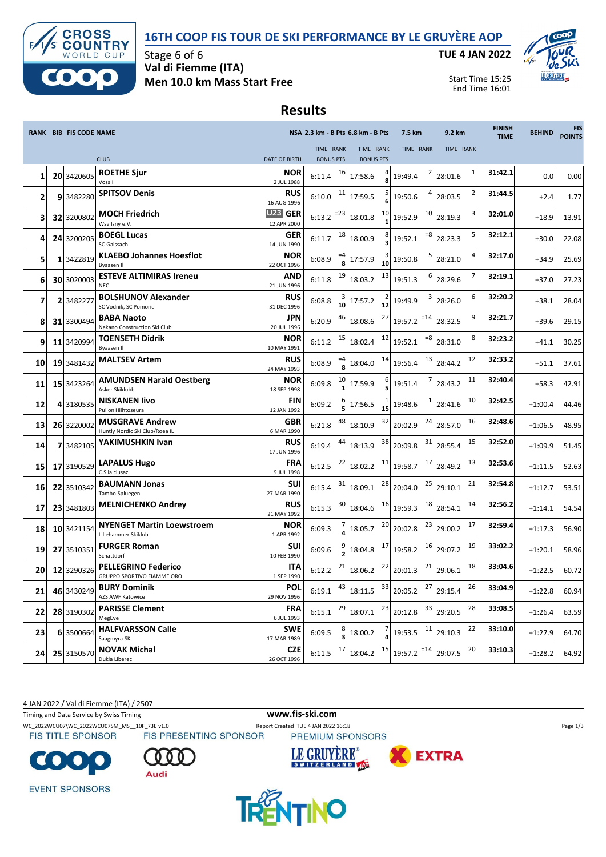



Stage 6 of 6 **Val di Fiemme (ITA) Men 10.0 km Mass Start Free** **TUE 4 JAN 2022**



Start Time 15:25 End Time 16:01

## **Results**

|                         |   | RANK BIB FIS CODE NAME |                                                          |                                         | NSA 2.3 km - B Pts 6.8 km - B Pts                      |                               | 7.5 km            |           | 9.2 km                           |    | <b>FINISH</b><br><b>TIME</b> | <b>BEHIND</b> | <b>FIS</b><br><b>POINTS</b> |
|-------------------------|---|------------------------|----------------------------------------------------------|-----------------------------------------|--------------------------------------------------------|-------------------------------|-------------------|-----------|----------------------------------|----|------------------------------|---------------|-----------------------------|
|                         |   |                        | <b>CLUB</b>                                              | <b>DATE OF BIRTH</b>                    | TIME RANK<br><b>BONUS PTS</b>                          | TIME RANK<br><b>BONUS PTS</b> |                   | TIME RANK | TIME RANK                        |    |                              |               |                             |
|                         |   |                        | <b>ROETHE Sjur</b>                                       | <b>NOR</b>                              | 16                                                     |                               |                   |           |                                  | 1  | 31:42.1                      |               |                             |
| 1                       |   | 20 3420605             | Voss II                                                  | 2 JUL 1988                              | 6:11.4                                                 | 17:58.6                       | 19:49.4           |           | 28:01.6                          |    |                              | 0.0           | 0.00                        |
| $\overline{\mathbf{2}}$ |   | 9 3482280              | <b>SPITSOV Denis</b>                                     | <b>RUS</b><br>16 AUG 1996               | 11<br>6:10.0                                           | 17:59.5                       | 19:50.6           |           | 28:03.5                          |    | 31:44.5                      | $+2.4$        | 1.77                        |
| 3                       |   | 32 3200802             | <b>MOCH Friedrich</b><br>Wsv Isny e.V.                   | <b>U23</b><br><b>GER</b><br>12 APR 2000 | $6:13.2$ <sup>=23</sup>                                | 18:01.8                       | 10<br>19:52.9     | 10        | 28:19.3                          |    | 32:01.0                      | $+18.9$       | 13.91                       |
| 4                       |   | 24 3200205             | <b>BOEGL Lucas</b><br>SC Gaissach                        | <b>GER</b><br>14 JUN 1990               | 18<br>6:11.7                                           | 18:00.9                       | 19:52.1           | $= 8$     | 28:23.3                          |    | 32:12.1                      | $+30.0$       | 22.08                       |
| 5                       |   | 1 3422819              | <b>KLAEBO Johannes Hoesflot</b><br><b>Byaasen II</b>     | <b>NOR</b><br>22 OCT 1996               | 6:08.9                                                 | 17:57.9                       | 19:50.8<br>10     |           | 28:21.0                          |    | 32:17.0                      | $+34.9$       | 25.69                       |
| 6                       |   | 30 3020003             | <b>ESTEVE ALTIMIRAS Ireneu</b><br><b>NEC</b>             | <b>AND</b><br>21 JUN 1996               | 19<br>6:11.8                                           | 18:03.2                       | 13<br>19:51.3     | 6         | 28:29.6                          |    | 32:19.1                      | $+37.0$       | 27.23                       |
| 7                       | 2 | 348227                 | <b>BOLSHUNOV Alexander</b><br>SC Vodnik, SC Pomorie      | <b>RUS</b><br>31 DEC 1996               | 6:08.8<br>10                                           | 17:57.2                       | 19:49.9<br>12     |           | 28:26.0                          | 6  | 32:20.2                      | $+38.1$       | 28.04                       |
| 8                       |   | 31 3300494             | <b>BABA Naoto</b><br>Nakano Construction Ski Club        | <b>JPN</b><br>20 JUL 1996               | 6:20.9                                                 | 18:08.6                       | 27<br>19:57.2     | $=14$     | 28:32.5                          | 9  | 32:21.7                      | $+39.6$       | 29.15                       |
| 9                       |   | 11 3420994             | <b>TOENSETH Didrik</b><br><b>Byaasen II</b>              | <b>NOR</b><br>10 MAY 1991               | 15<br>6:11.2                                           | 18:02.4                       | 12<br>19:52.1     | $= 8$     | 28:31.0                          | 8  | 32:23.2                      | $+41.1$       | 30.25                       |
| 10                      |   | 19 3481432             | <b>MALTSEV Artem</b>                                     | <b>RUS</b><br>24 MAY 1993               | 6:08.9                                                 | 18:04.0                       | 14<br>19:56.4     | 13        | 28:44.2                          | 12 | 32:33.2                      | $+51.1$       | 37.61                       |
| 11                      |   | 15 3423264             | <b>AMUNDSEN Harald Oestberg</b><br>Asker Skiklubb        | <b>NOR</b><br>18 SEP 1998               | 6:09.8                                                 | 17:59.9                       | 19:51.4           |           | 28:43.2                          | 11 | 32:40.4                      | $+58.3$       | 42.91                       |
| 12                      |   | 4 3180535              | <b>NISKANEN livo</b><br>Puijon Hiihtoseura               | <b>FIN</b><br>12 JAN 1992               | 6:09.2                                                 | 17:56.5                       | 19:48.6<br>15     | 1         | 28:41.6                          | 10 | 32:42.5                      | $+1:00.4$     | 44.46                       |
| 13                      |   | 26 3220002             | <b>MUSGRAVE Andrew</b><br>Huntly Nordic Ski Club/Roea IL | <b>GBR</b><br>6 MAR 1990                | 6:21.8                                                 | 18:10.9                       | 32<br>20:02.9     | 24        | 28:57.0                          | 16 | 32:48.6                      | $+1:06.5$     | 48.95                       |
| 14                      | 7 | 3482105                | YAKIMUSHKIN Ivan                                         | <b>RUS</b><br>17 JUN 1996               | 44<br>6:19.4                                           | 18:13.9                       | 38<br>20:09.8     | 31        | 28:55.4                          | 15 | 32:52.0                      | $+1:09.9$     | 51.45                       |
| 15                      |   | 17 3190529             | <b>LAPALUS Hugo</b><br>C.S la clusaz                     | FRA<br>9 JUL 1998                       | 22<br>6:12.5                                           | 18:02.2                       | 11<br>19:58.7     | 17        | 28:49.2                          | 13 | 32:53.6                      | $+1:11.5$     | 52.63                       |
| 16                      |   | 22 3510342             | <b>BAUMANN Jonas</b><br>Tambo Spluegen                   | <b>SUI</b><br>27 MAR 1990               | 31<br>6:15.4                                           | 18:09.1                       | 28<br>20:04.0     | 25        | 29:10.1                          | 21 | 32:54.8                      | $+1:12.7$     | 53.51                       |
| 17                      |   | 23 3481803             | <b>MELNICHENKO Andrey</b>                                | <b>RUS</b><br>21 MAY 1992               | 30<br>6:15.3                                           | 18:04.6                       | 16<br>19:59.3     | 18        | 28:54.1                          | 14 | 32:56.2                      | $+1:14.1$     | 54.54                       |
| 18                      |   | 10 3421154             | <b>NYENGET Martin Loewstroem</b><br>Lillehammer Skiklub  | <b>NOR</b><br>1 APR 1992                | 6:09.3                                                 | 18:05.7                       | 20<br>20:02.8     | 23        | 29:00.2                          | 17 | 32:59.4                      | $+1:17.3$     | 56.90                       |
| 19                      |   | 27 3510351             | <b>FURGER Roman</b><br>Schattdorf                        | SUI<br>10 FEB 1990                      | 6:09.6                                                 | 18:04.8                       | $17\,$<br>19:58.2 | 16        | 29:07.2                          | 19 | 33:02.2                      | $+1:20.1$     | 58.96                       |
| 20                      |   | 12 3290326             | <b>PELLEGRINO Federico</b><br>GRUPPO SPORTIVO FIAMME ORO | <b>ITA</b><br>1 SEP 1990                | 21<br>6:12.2                                           | 18:06.2                       | 22<br>20:01.3     | 21        | 29:06.1                          | 18 | 33:04.6                      | $+1:22.5$     | 60.72                       |
| 21                      |   | 46 3430249             | <b>BURY Dominik</b><br>AZS AWF Katowice                  | <b>POL</b><br>29 NOV 1996               | 6:19.1 $^{43}$ 18:11.5 $^{33}$ 20:05.2 $^{27}$ 29:15.4 |                               |                   |           |                                  | 26 | 33:04.9                      | $+1:22.8$     | 60.94                       |
| 22                      |   | 28 3190302             | <b>PARISSE Clement</b><br>MegEve                         | <b>FRA</b><br>6 JUL 1993                | 29<br>6:15.1                                           | 18:07.1                       | 23                |           | $20:12.8$ <sup>33</sup> 29:20.5  | 28 | 33:08.5                      | $+1:26.4$     | 63.59                       |
| 23                      |   | 6 3500664              | <b>HALFVARSSON Calle</b><br>Saagmyra SK                  | <b>SWE</b><br>17 MAR 1989               | 6:09.5                                                 | 18:00.2                       |                   |           | $19:53.5$ <sup>11</sup> 29:10.3  | 22 | 33:10.0                      | $+1:27.9$     | 64.70                       |
| 24                      |   | 25 3150570             | <b>NOVAK Michal</b><br>Dukla Liberec                     | <b>CZE</b><br>26 OCT 1996               | 17<br>6:11.5                                           | 18:04.2                       | 15                |           | $19:57.2$ <sup>=14</sup> 29:07.5 | 20 | 33:10.3                      | $+1:28.2$     | 64.92                       |

4 JAN 2022 / Val di Fiemme (ITA) / 2507

Timing and Data Service by Swiss Timing **www.fis-ski.com**

WC\_2022WCU07\WC\_2022WCU07SM\_MS\_\_10F\_73E v1.0 Report Created TUE 4 JAN 2022 16:18 Page 1/3<br>
FIS TITLE SPONSOR FIS PRESENTING SPONSOR PREMIUM SPONSORS

PREMIUM SPONSORS

**EXTRA** 









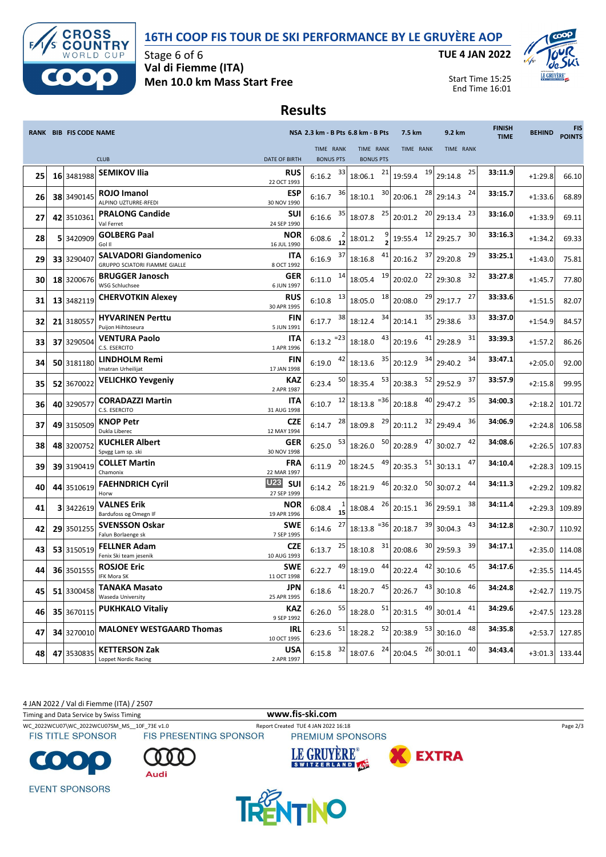



Stage 6 of 6 **Val di Fiemme (ITA) Men 10.0 km Mass Start Free** **TUE 4 JAN 2022**



Start Time 15:25 End Time 16:01

## **Results**

|    | RANK BIB FIS CODE NAME |                                                                |                                         |                               | NSA 2.3 km - B Pts 6.8 km - B Pts | 7.5 km        | 9.2 km             | <b>FINISH</b><br><b>TIME</b> | <b>BEHIND</b> | <b>FIS</b><br><b>POINTS</b> |
|----|------------------------|----------------------------------------------------------------|-----------------------------------------|-------------------------------|-----------------------------------|---------------|--------------------|------------------------------|---------------|-----------------------------|
|    |                        | <b>CLUB</b>                                                    | <b>DATE OF BIRTH</b>                    | TIME RANK<br><b>BONUS PTS</b> | TIME RANK<br><b>BONUS PTS</b>     | TIME RANK     | TIME RANK          |                              |               |                             |
| 25 | 16 3481988             | <b>SEMIKOV Ilia</b>                                            | <b>RUS</b><br>22 OCT 1993               | 33<br>6:16.2                  | 21<br>18:06.1                     | 19<br>19:59.4 | 25<br>29:14.8      | 33:11.9                      | $+1:29.8$     | 66.10                       |
| 26 | 38 3490145             | <b>ROJO Imanol</b><br>ALPINO UZTURRE-RFEDI                     | <b>ESP</b><br>30 NOV 1990               | 36<br>6:16.7                  | 30<br>18:10.1                     | 28<br>20:06.1 | 24<br>29:14.3      | 33:15.7                      | $+1:33.6$     | 68.89                       |
| 27 | 42 3510361             | <b>PRALONG Candide</b><br>Val Ferret                           | <b>SUI</b><br>24 SEP 1990               | 35<br>6:16.6                  | 25<br>18:07.8                     | 20<br>20:01.2 | 23<br>29:13.4      | 33:16.0                      | $+1:33.9$     | 69.11                       |
| 28 | 5 3420909              | <b>GOLBERG Paal</b><br>Gol II                                  | <b>NOR</b><br>16 JUL 1990               | 6:08.6<br>12                  | 18:01.2                           | 12<br>19:55.4 | 30<br>29:25.7      | 33:16.3                      | $+1:34.2$     | 69.33                       |
| 29 | 33 3290407             | <b>SALVADORI Giandomenico</b><br>GRUPPO SCIATORI FIAMME GIALLE | ITA<br>8 OCT 1992                       | 37<br>6:16.9                  | 41<br>18:16.8                     | 37<br>20:16.2 | 29<br>29:20.8      | 33:25.1                      | $+1:43.0$     | 75.81                       |
| 30 | 18 3200676             | <b>BRUGGER Janosch</b><br><b>WSG Schluchsee</b>                | <b>GER</b><br>6 JUN 1997                | 14<br>6:11.0                  | 19<br>18:05.4                     | 22<br>20:02.0 | 32<br>29:30.8      | 33:27.8                      | $+1:45.7$     | 77.80                       |
| 31 | 13 3482119             | <b>CHERVOTKIN Alexey</b>                                       | <b>RUS</b><br>30 APR 1995               | 13<br>6:10.8                  | 18<br>18:05.0                     | 29<br>20:08.0 | 27<br>29:17.7      | 33:33.6                      | $+1:51.5$     | 82.07                       |
| 32 | 21 3180557             | <b>HYVARINEN Perttu</b><br>Puijon Hiihtoseura                  | <b>FIN</b><br>5 JUN 1991                | 38<br>6:17.7                  | 34<br>18:12.4                     | 35<br>20:14.1 | 33<br>29:38.6      | 33:37.0                      | $+1:54.9$     | 84.57                       |
| 33 | 37 3290504             | <b>VENTURA Paolo</b><br>C.S. ESERCITO                          | ITA<br>1 APR 1996                       | $6:13.2$ <sup>=23</sup>       | 43<br>18:18.0                     | 41<br>20:19.6 | 31<br>29:28.9      | 33:39.3                      | $+1:57.2$     | 86.26                       |
| 34 | 50 3181180             | LINDHOLM Remi<br>Imatran Urheilijat                            | <b>FIN</b><br>17 JAN 1998               | 42<br>6:19.0                  | 35<br>18:13.6                     | 34<br>20:12.9 | 34<br>29:40.2      | 33:47.1                      | $+2:05.0$     | 92.00                       |
| 35 | 52 3670022             | <b>VELICHKO Yevgeniy</b>                                       | KAZ<br>2 APR 1987                       | 50<br>6:23.4                  | 53<br>18:35.4                     | 52<br>20:38.3 | 37<br>29:52.9      | 33:57.9                      | $+2:15.8$     | 99.95                       |
| 36 | 40 3290577             | <b>CORADAZZI Martin</b><br>C.S. ESERCITO                       | <b>ITA</b><br>31 AUG 1998               | 12<br>6:10.7                  | $= 36$<br>18:13.8                 | 40<br>20:18.8 | 35<br>29:47.2      | 34:00.3                      | $+2:18.2$     | 101.72                      |
| 37 | 49 3150509             | <b>KNOP Petr</b><br>Dukla Liberec                              | <b>CZE</b><br>12 MAY 1994               | 28<br>6:14.7                  | 29<br>18:09.8                     | 32<br>20:11.2 | 36<br>29:49.4      | 34:06.9                      | $+2:24.8$     | 106.58                      |
| 38 | 48 3200752             | <b>KUCHLER Albert</b><br>Spvgg Lam sp. ski                     | <b>GER</b><br>30 NOV 1998               | 53<br>6:25.0                  | 50<br>18:26.0                     | 47<br>20:28.9 | 42<br>30:02.7      | 34:08.6                      | $+2:26.5$     | 107.83                      |
| 39 | 39 3190419             | <b>COLLET Martin</b><br>Chamonix                               | <b>FRA</b><br>22 MAR 1997               | 20<br>6:11.9                  | 49<br>18:24.5                     | 51<br>20:35.3 | 47<br>30:13.1      | 34:10.4                      | $+2:28.3$     | 109.15                      |
| 40 | 44 3510619             | <b>FAEHNDRICH Cyril</b><br>Horw                                | <b>U23</b><br><b>SUI</b><br>27 SEP 1999 | 26<br>6:14.2                  | 46<br>18:21.9                     | 50<br>20:32.0 | 44<br>30:07.2      | 34:11.3                      | $+2:29.2$     | 109.82                      |
| 41 | 3 3422619              | <b>VALNES Erik</b><br>Bardufoss og Omegn IF                    | <b>NOR</b><br>19 APR 1996               | 6:08.4<br>15                  | 26<br>18:08.4                     | 36<br>20:15.1 | 38<br>29:59.1      | 34:11.4                      | $+2:29.3$     | 109.89                      |
| 42 | 29 3501255             | <b>SVENSSON Oskar</b><br>Falun Borlaenge sk                    | <b>SWE</b><br>7 SEP 1995                | 27<br>6:14.6                  | $18:13.8$ <sup>=36</sup>          | 39<br>20:18.7 | 43<br>30:04.3      | 34:12.8                      | $+2:30.7$     | 110.92                      |
| 43 | 53 3150519             | <b>FELLNER Adam</b><br>Fenix Ski team jesenik                  | <b>CZE</b><br>10 AUG 1993               | 25<br>6:13.7                  | 31<br>18:10.8                     | 30<br>20:08.6 | 39<br>29:59.3      | 34:17.1                      | $+2:35.0$     | 114.08                      |
| 44 | 36 3501555             | <b>ROSJOE Eric</b><br>IFK Mora SK                              | <b>SWE</b><br>11 OCT 1998               | 49<br>6:22.7                  | 44<br>18:19.0                     | 42<br>20:22.4 | 45<br>30:10.6      | 34:17.6                      | $+2:35.5$     | 114.45                      |
| 45 | 51 3300458             | <b>TANAKA Masato</b><br>Waseda University                      | <b>JPN</b><br>25 APR 1995               | 41<br>6:18.6                  | 18:20.7                           | $45$ 20:26.7  | $43$ 30:10.8<br>46 | 34:24.8                      |               | $+2:42.7$ 119.75            |
| 46 | 35 3670115             | <b>PUKHKALO Vitaliy</b>                                        | <b>KAZ</b><br>9 SEP 1992                | 55<br>6:26.0                  | 51<br>18:28.0                     | 49<br>20:31.5 | 41<br>30:01.4      | 34:29.6                      | $+2:47.5$     | 123.28                      |
| 47 | 34 3270010             | <b>MALONEY WESTGAARD Thomas</b>                                | IRL<br>10 OCT 1995                      | 51<br>6:23.6                  | 52<br>18:28.2                     | 53<br>20:38.9 | 48<br>30:16.0      | 34:35.8                      | $+2:53.7$     | 127.85                      |
| 48 | 47 3530835             | <b>KETTERSON Zak</b><br><b>Loppet Nordic Racing</b>            | <b>USA</b><br>2 APR 1997                | 32<br>6:15.8                  | 24<br>18:07.6                     | 26<br>20:04.5 | 40<br>30:01.1      | 34:43.4                      | $+3:01.3$     | 133.44                      |

4 JAN 2022 / Val di Fiemme (ITA) / 2507

Timing and Data Service by Swiss Timing **www.fis-ski.com**



WC\_2022WCU07\WC\_2022WCU07SM\_MS\_\_10F\_73E v1.0 Report Created TUE 4 JAN 2022 16:18 Page 2/3<br>
FIS TITLE SPONSOR FIS PRESENTING SPONSOR PREMIUM SPONSORS

Audi









 $\bullet$